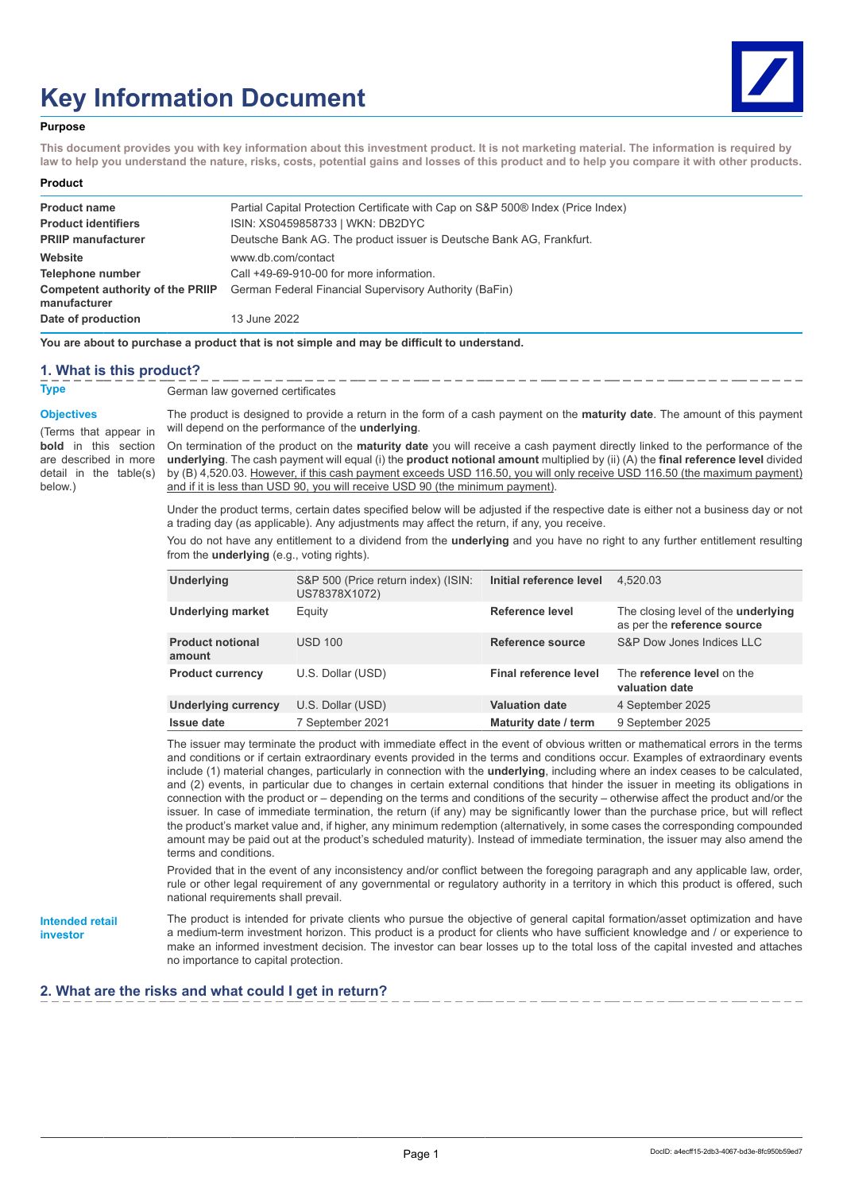# **Key Information Document**



#### **Purpose**

**This document provides you with key information about this investment product. It is not marketing material. The information is required by law to help you understand the nature, risks, costs, potential gains and losses of this product and to help you compare it with other products.**

#### **Product**

| <b>Product name</b>                                     | Partial Capital Protection Certificate with Cap on S&P 500® Index (Price Index) |
|---------------------------------------------------------|---------------------------------------------------------------------------------|
| <b>Product identifiers</b>                              | ISIN: XS0459858733   WKN: DB2DYC                                                |
| <b>PRIIP manufacturer</b>                               | Deutsche Bank AG. The product issuer is Deutsche Bank AG. Frankfurt.            |
| Website                                                 | www.db.com/contact                                                              |
| Telephone number                                        | Call +49-69-910-00 for more information.                                        |
| <b>Competent authority of the PRIIP</b><br>manufacturer | German Federal Financial Supervisory Authority (BaFin)                          |
| Date of production                                      | 13 June 2022                                                                    |

**You are about to purchase a product that is not simple and may be difficult to understand.**

#### **1. What is this product?**

**Type** German law governed certificates

#### **Objectives**

(Terms that appear in **bold** in this section are described in more detail in the table(s) below.)

The product is designed to provide a return in the form of a cash payment on the **maturity date**. The amount of this payment will depend on the performance of the **underlying**.

On termination of the product on the **maturity date** you will receive a cash payment directly linked to the performance of the **underlying**. The cash payment will equal (i) the **product notional amount** multiplied by (ii) (A) the **final reference level** divided by (B) 4,520.03. However, if this cash payment exceeds USD 116.50, you will only receive USD 116.50 (the maximum payment) and if it is less than USD 90, you will receive USD 90 (the minimum payment).

Under the product terms, certain dates specified below will be adjusted if the respective date is either not a business day or not a trading day (as applicable). Any adjustments may affect the return, if any, you receive.

You do not have any entitlement to a dividend from the **underlying** and you have no right to any further entitlement resulting from the **underlying** (e.g., voting rights).

| <b>Underlying</b>                 | S&P 500 (Price return index) (ISIN:<br>US78378X1072) | Initial reference level | 4.520.03                                                                  |
|-----------------------------------|------------------------------------------------------|-------------------------|---------------------------------------------------------------------------|
| <b>Underlying market</b>          | Equity                                               | <b>Reference level</b>  | The closing level of the <b>underlying</b><br>as per the reference source |
| <b>Product notional</b><br>amount | <b>USD 100</b>                                       | Reference source        | S&P Dow Jones Indices LLC                                                 |
| <b>Product currency</b>           | U.S. Dollar (USD)                                    | Final reference level   | The reference level on the<br>valuation date                              |
| <b>Underlying currency</b>        | U.S. Dollar (USD)                                    | <b>Valuation date</b>   | 4 September 2025                                                          |
| <b>Issue date</b>                 | 7 September 2021                                     | Maturity date / term    | 9 September 2025                                                          |

The issuer may terminate the product with immediate effect in the event of obvious written or mathematical errors in the terms and conditions or if certain extraordinary events provided in the terms and conditions occur. Examples of extraordinary events include (1) material changes, particularly in connection with the **underlying**, including where an index ceases to be calculated, and (2) events, in particular due to changes in certain external conditions that hinder the issuer in meeting its obligations in connection with the product or – depending on the terms and conditions of the security – otherwise affect the product and/or the issuer. In case of immediate termination, the return (if any) may be significantly lower than the purchase price, but will reflect the product's market value and, if higher, any minimum redemption (alternatively, in some cases the corresponding compounded amount may be paid out at the product's scheduled maturity). Instead of immediate termination, the issuer may also amend the terms and conditions.

Provided that in the event of any inconsistency and/or conflict between the foregoing paragraph and any applicable law, order, rule or other legal requirement of any governmental or regulatory authority in a territory in which this product is offered, such national requirements shall prevail.

**Intended retail investor**

The product is intended for private clients who pursue the objective of general capital formation/asset optimization and have a medium-term investment horizon. This product is a product for clients who have sufficient knowledge and / or experience to make an informed investment decision. The investor can bear losses up to the total loss of the capital invested and attaches no importance to capital protection.

### **2. What are the risks and what could I get in return?**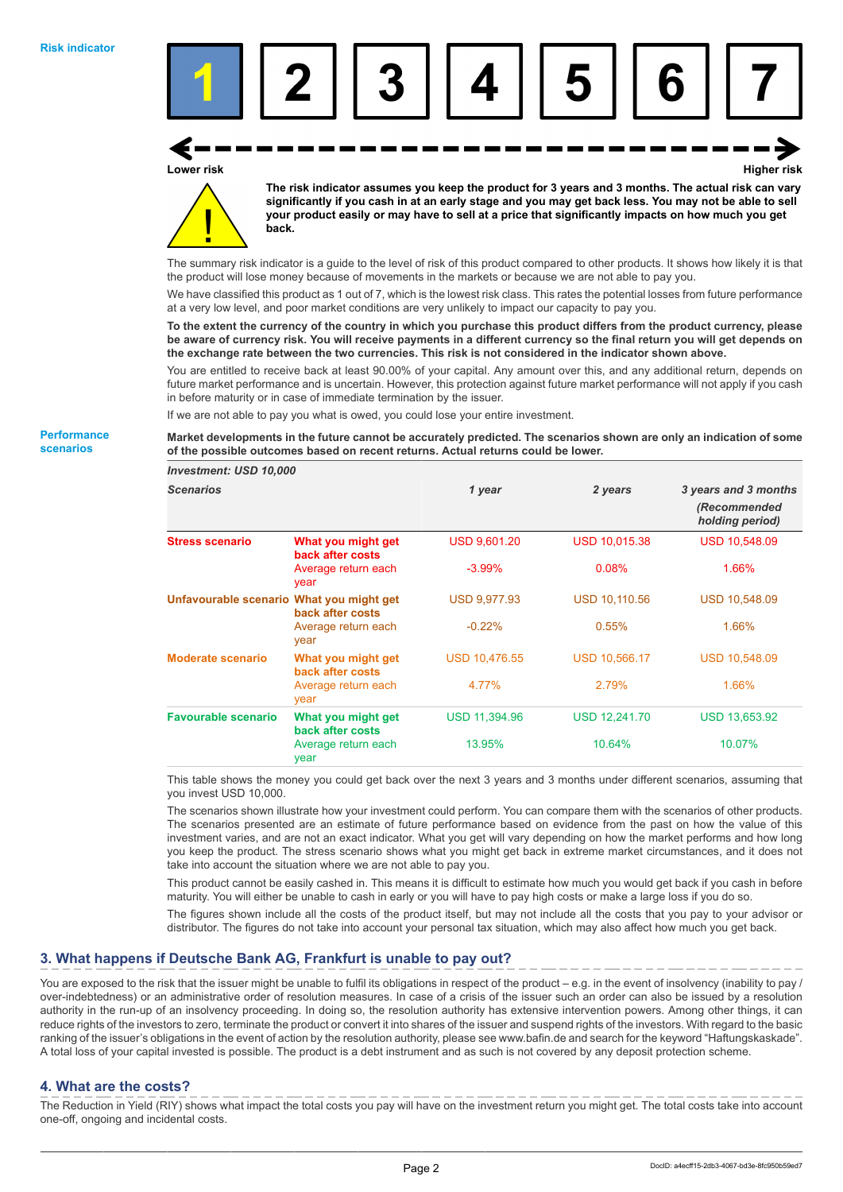

**Lower risk Higher risk**



**The risk indicator assumes you keep the product for 3 years and 3 months. The actual risk can vary significantly if you cash in at an early stage and you may get back less. You may not be able to sell your product easily or may have to sell at a price that significantly impacts on how much you get back.**

The summary risk indicator is a guide to the level of risk of this product compared to other products. It shows how likely it is that the product will lose money because of movements in the markets or because we are not able to pay you.

We have classified this product as 1 out of 7, which is the lowest risk class. This rates the potential losses from future performance at a very low level, and poor market conditions are very unlikely to impact our capacity to pay you.

**To the extent the currency of the country in which you purchase this product differs from the product currency, please be aware of currency risk. You will receive payments in a different currency so the final return you will get depends on the exchange rate between the two currencies. This risk is not considered in the indicator shown above.**

You are entitled to receive back at least 90.00% of your capital. Any amount over this, and any additional return, depends on future market performance and is uncertain. However, this protection against future market performance will not apply if you cash in before maturity or in case of immediate termination by the issuer.

If we are not able to pay you what is owed, you could lose your entire investment.

**Market developments in the future cannot be accurately predicted. The scenarios shown are only an indication of some of the possible outcomes based on recent returns. Actual returns could be lower.**

| <b>Investment: USD 10,000</b>            |                                        |                      |                      |                                                         |
|------------------------------------------|----------------------------------------|----------------------|----------------------|---------------------------------------------------------|
| <b>Scenarios</b>                         |                                        | 1 year               | 2 years              | 3 years and 3 months<br>(Recommended<br>holding period) |
| <b>Stress scenario</b>                   | What you might get<br>back after costs | <b>USD 9,601.20</b>  | <b>USD 10,015.38</b> | <b>USD 10,548.09</b>                                    |
|                                          | Average return each<br>year            | $-3.99%$             | 0.08%                | 1.66%                                                   |
| Unfavourable scenario What you might get | back after costs                       | <b>USD 9,977.93</b>  | <b>USD 10,110.56</b> | <b>USD 10,548.09</b>                                    |
|                                          | Average return each<br>year            | $-0.22%$             | 0.55%                | 1.66%                                                   |
| <b>Moderate scenario</b>                 | What you might get<br>back after costs | <b>USD 10,476.55</b> | <b>USD 10,566.17</b> | <b>USD 10,548.09</b>                                    |
|                                          | Average return each<br>year            | 4.77%                | 2.79%                | 1.66%                                                   |
| <b>Favourable scenario</b>               | What you might get<br>back after costs | <b>USD 11,394.96</b> | <b>USD 12,241.70</b> | <b>USD 13,653.92</b>                                    |
|                                          | Average return each<br>year            | 13.95%               | 10.64%               | 10.07%                                                  |

This table shows the money you could get back over the next 3 years and 3 months under different scenarios, assuming that you invest USD 10,000.

The scenarios shown illustrate how your investment could perform. You can compare them with the scenarios of other products. The scenarios presented are an estimate of future performance based on evidence from the past on how the value of this investment varies, and are not an exact indicator. What you get will vary depending on how the market performs and how long you keep the product. The stress scenario shows what you might get back in extreme market circumstances, and it does not take into account the situation where we are not able to pay you.

This product cannot be easily cashed in. This means it is difficult to estimate how much you would get back if you cash in before maturity. You will either be unable to cash in early or you will have to pay high costs or make a large loss if you do so.

The figures shown include all the costs of the product itself, but may not include all the costs that you pay to your advisor or distributor. The figures do not take into account your personal tax situation, which may also affect how much you get back.

# **3. What happens if Deutsche Bank AG, Frankfurt is unable to pay out?**

You are exposed to the risk that the issuer might be unable to fulfil its obligations in respect of the product – e.g. in the event of insolvency (inability to pay / over-indebtedness) or an administrative order of resolution measures. In case of a crisis of the issuer such an order can also be issued by a resolution authority in the run-up of an insolvency proceeding. In doing so, the resolution authority has extensive intervention powers. Among other things, it can reduce rights of the investors to zero, terminate the product or convert it into shares of the issuer and suspend rights of the investors. With regard to the basic ranking of the issuer's obligations in the event of action by the resolution authority, please see www.bafin.de and search for the keyword "Haftungskaskade". A total loss of your capital invested is possible. The product is a debt instrument and as such is not covered by any deposit protection scheme.

#### **4. What are the costs?**

The Reduction in Yield (RIY) shows what impact the total costs you pay will have on the investment return you might get. The total costs take into account one-off, ongoing and incidental costs.

**Performance scenarios**